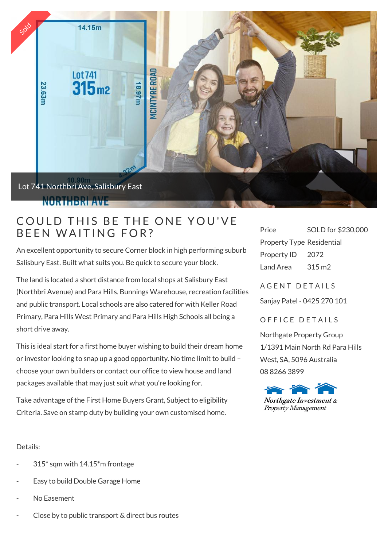

## COULD THIS BE THE ON<br>BEEN WAITING FOR?

An excellent opportunity to secure Corner block in high performing suburb Salisbury East. Built what suits you. Be quick to secure your block.

The land is located a short distance from local shops at Salisbury East (Northbri Avenue) and Para Hills. Bunnings Warehouse, recreation facilities and public transport. Local schools are also catered for with Keller Road Primary, Para Hills West Primary and Para Hills High Schools all being a short drive away.

This is ideal start for a first home buyer wishing to build their dream home or investor looking to snap up a good opportunity. No time limit to build – choose your own builders or contact our office to view house and land packages available that may just suit what you're looking for.

Take advantage of the First Home Buyers Grant, Subject to eligibility Criteria. Save on stamp duty by building your own customised home.

Price SOLD for \$230,000 Property Type Residential Property ID 2072 Land Area 315 m2

A GENT DETAILS

Sanjay Patel - 0425 270 101

OFFICE DETAILS

Northgate Property Group 1/1391 Main North Rd Para Hills West, SA, 5096 Australia 08 8266 3899



## Details:

- $315*$  sqm with  $14.15*$ m frontage
- Easy to build Double Garage Home
- No Easement
- Close by to public transport & direct bus routes